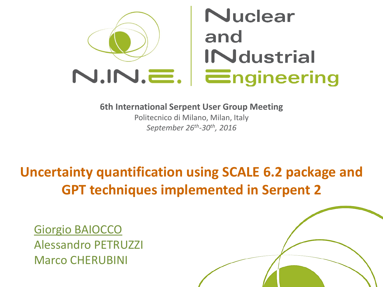

**6th International Serpent User Group Meeting**

Politecnico di Milano, Milan, Italy *September 26th -30th, 2016*

## **Uncertainty quantification using SCALE 6.2 package and GPT techniques implemented in Serpent 2**

Giorgio BAIOCCO Alessandro PETRUZZI Marco CHERUBINI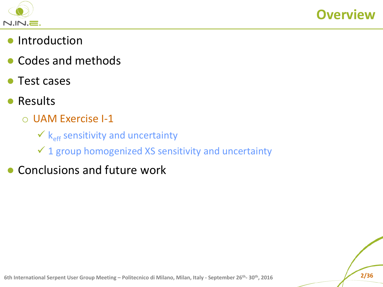



- Introduction
- Codes and methods
- Test cases
- Results
	- o UAM Exercise I-1
		- $\mathbf{K}_{\text{eff}}$  sensitivity and uncertainty
		- $\checkmark$  1 group homogenized XS sensitivity and uncertainty
- Conclusions and future work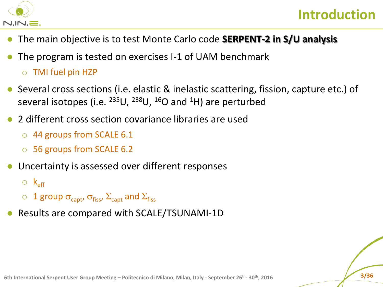

- The main objective is to test Monte Carlo code **SERPENT-2 in S/U analysis**
- The program is tested on exercises I-1 of UAM benchmark o TMI fuel pin HZP
- Several cross sections (i.e. elastic & inelastic scattering, fission, capture etc.) of several isotopes (i.e.  $^{235}U$ ,  $^{238}U$ ,  $^{16}O$  and  $^{1}H$ ) are perturbed
- 2 different cross section covariance libraries are used
	- o 44 groups from SCALE 6.1
	- o 56 groups from SCALE 6.2
- Uncertainty is assessed over different responses

 $\circ$   $k_{\text{eff}}$ 

- $\circ$  1 group  $\sigma_{\text{capt}}$ ,  $\sigma_{\text{fiss}}$ ,  $\Sigma_{\text{capt}}$  and  $\Sigma_{\text{fiss}}$
- Results are compared with SCALE/TSUNAMI-1D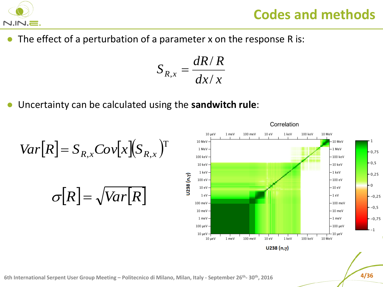

Correlation

● The effect of a perturbation of a parameter x on the response R is:

$$
S_{R,x} = \frac{dR/R}{dx/x}
$$

● Uncertainty can be calculated using the **sandwitch rule**:



$$
Var[R] = S_{R,x} Cov[x](S_{R,x})
$$

$$
\sigma[R] = \sqrt{Var[R]}
$$

 $0,75$ 

 $-0,5$ 

 $-0,25$ 

 $-0,25$ 

 $-0.5$ 

 $-0,75$ 

 $-1$ 

۰0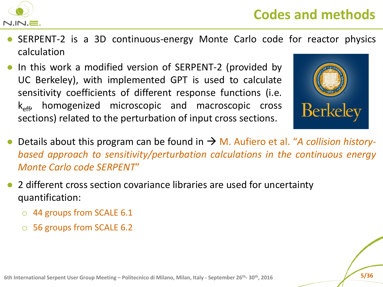

- SERPENT-2 is a 3D continuous-energy Monte Carlo code for reactor physics calculation
- In this work a modified version of SERPENT-2 (provided by UC Berkeley), with implemented GPT is used to calculate sensitivity coefficients of different response functions (i.e.  $k_{\text{eff}}$ , homogenized microscopic and macroscopic cross sections) related to the perturbation of input cross sections.



- Details about this program can be found in  $\rightarrow$  M. Aufiero et al. "*A collision historybased approach to sensitivity/perturbation calculations in the continuous energy Monte Carlo code SERPENT*"
- 2 different cross section covariance libraries are used for uncertainty quantification:
	- o 44 groups from SCALE 6.1
	- o 56 groups from SCALE 6.2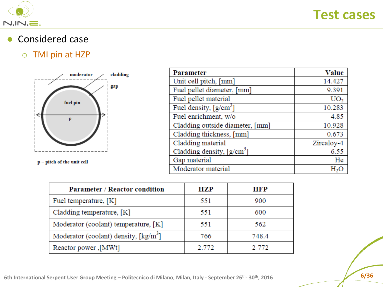

● Considered case

#### o TMI pin at HZP



p - pitch of the unit cell

| <b>Parameter</b>                       | <b>Value</b>    |
|----------------------------------------|-----------------|
| Unit cell pitch, [mm]                  | 14.427          |
| Fuel pellet diameter, [mm]             | 9.391           |
| Fuel pellet material                   | UO <sub>2</sub> |
| Fuel density, $\lceil g/cm^3 \rceil$   | 10.283          |
| Fuel enrichment, w/o                   | 4.85            |
| Cladding outside diameter, [mm]        | 10.928          |
| Cladding thickness, [mm]               | 0.673           |
| Cladding material                      | Zircaloy-4      |
| Cladding density, [g/cm <sup>3</sup> ] | 6.55            |
| Gap material                           | He              |
| Moderator material                     | H۶              |

| <b>Parameter / Reactor condition</b>                       | <b>HZP</b> | <b>HFP</b> |
|------------------------------------------------------------|------------|------------|
| Fuel temperature, $[K]$                                    | 551        | 900        |
| Cladding temperature, $[K]$                                | 551        | 600        |
| Moderator (coolant) temperature, [K]                       | 551        | 562        |
| Moderator (coolant) density, $\lceil \text{kg/m}^3 \rceil$ | 766        | 748.4      |
| [MWt], Reactor power                                       | 2.772      | 2 772      |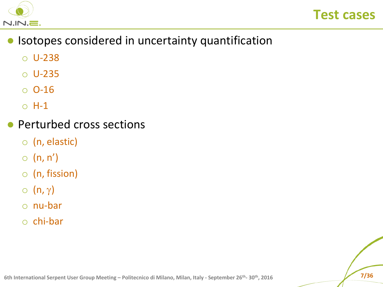



- Isotopes considered in uncertainty quantification
	- o U-238
	- o U-235
	- o O-16
	- o H-1
- Perturbed cross sections
	- o (n, elastic)
	- $\circ$  (n, n')
	- o (n, fission)
	- $\circ$  (n,  $\gamma$ )
	- o nu-bar
	- o chi-bar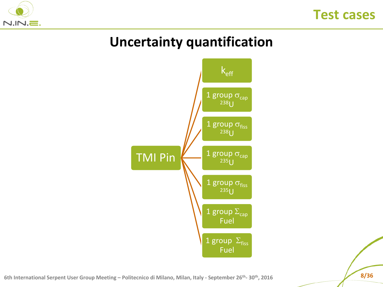



## **Uncertainty quantification**



**6th International Serpent User Group Meeting – Politecnico di Milano, Milan, Italy - September 26<sup>th</sup>- 30<sup>th</sup>, 2016<br><b>8/36**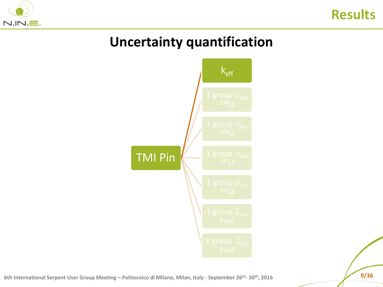

## **Uncertainty quantification**

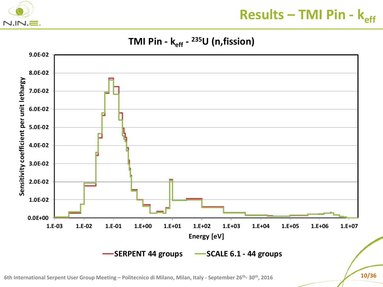

## **Results – TMI Pin - keff**

#### **TMI Pin - keff - <sup>235</sup>U (n,fission)**

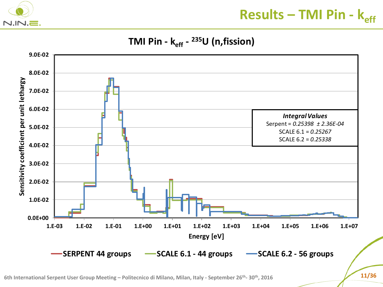

## **Results – TMI Pin -**  $k_{eff}$

**TMI Pin - keff - <sup>235</sup>U (n,fission)**

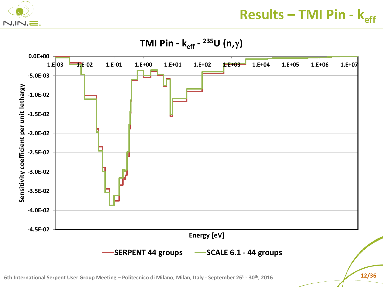

**Results – TMI Pin - keff**

**TMI Pin - keff - <sup>235</sup>U (n,**g**)** 

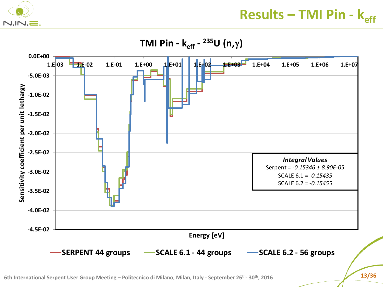

**TMI Pin - keff - <sup>235</sup>U (n,**g**)** 

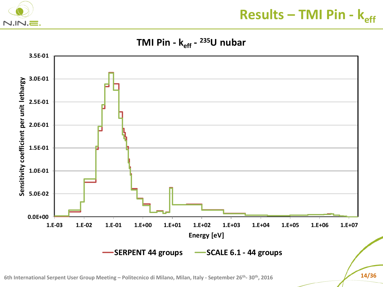

**Results – TMI Pin - keff**

**TMI Pin - keff - <sup>235</sup>U nubar** 

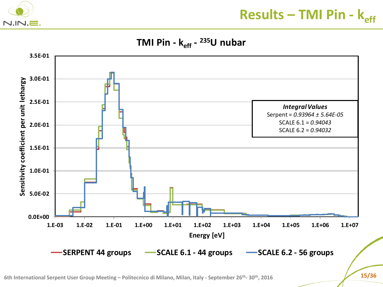

**Results – TMI Pin -**  $k_{eff}$ 

**TMI Pin - keff - <sup>235</sup>U nubar** 

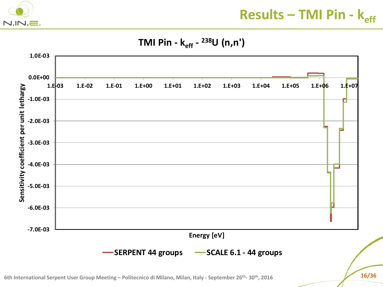

**Results – TMI Pin -**  $k_{eff}$ 

#### **TMI Pin - keff - <sup>238</sup>U (n,n')**



**6th International Serpent User Group Meeting – Politecnico di Milano, Milan, Italy - September 26th - 30th, 2016 16/36**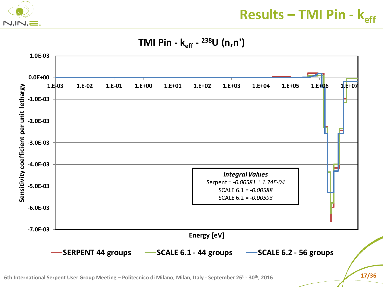

**Results – TMI Pin -**  $k_{eff}$ 

#### **TMI Pin - keff - <sup>238</sup>U (n,n')**

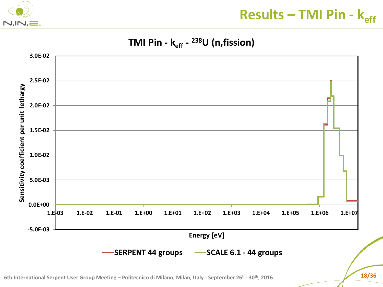

**Results – TMI Pin - keff**

#### **TMI Pin - keff - <sup>238</sup>U (n,fission)**

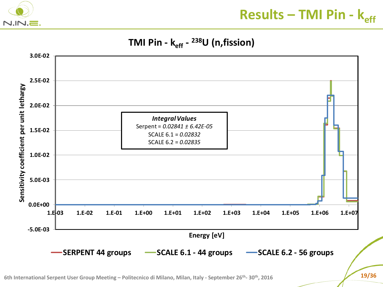

#### **TMI Pin - keff - <sup>238</sup>U (n,fission)**

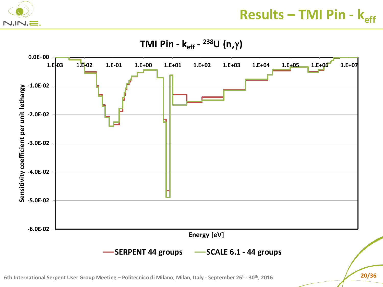

**Results – TMI Pin -**  $k_{eff}$ 

**TMI Pin - keff - <sup>238</sup>U (n,**g**)**



**6th International Serpent User Group Meeting – Politecnico di Milano, Milan, Italy - September 26th - 30th, 2016 20/36**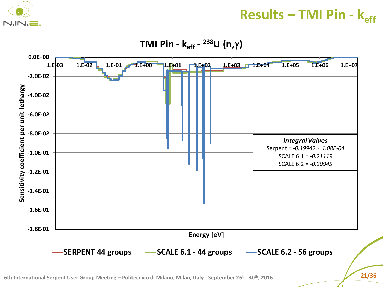

**Results – TMI Pin -**  $k_{eff}$ 

**TMI Pin - keff - <sup>238</sup>U (n,**g**)**

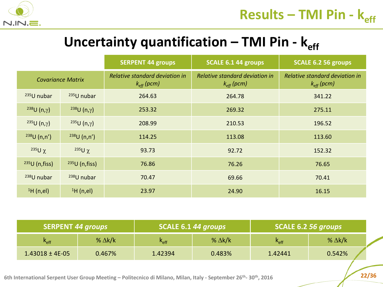

## **Uncertainty quantification – TMI Pin -**  $k_{eff}$

|                               |                         | <b>SERPENT 44 groups</b>                                 | <b>SCALE 6.1 44 groups</b>                               | SCALE 6.2 56 groups                                      |
|-------------------------------|-------------------------|----------------------------------------------------------|----------------------------------------------------------|----------------------------------------------------------|
| <b>Covariance Matrix</b>      |                         | Relative standard deviation in<br>$k_{\text{eff}}$ (pcm) | Relative standard deviation in<br>$k_{\text{eff}}$ (pcm) | Relative standard deviation in<br>$k_{\text{eff}}$ (pcm) |
| $235$ U nubar                 | $235$ U nubar           | 264.63                                                   | 264.78                                                   | 341.22                                                   |
| <sup>238</sup> U $(n,\gamma)$ | $238$ U (n,γ)           | 253.32                                                   | 269.32                                                   | 275.11                                                   |
| $235U(n,\gamma)$              | $235U(n,\gamma)$        | 208.99                                                   | 210.53                                                   | 196.52                                                   |
| 238U(n,n')                    | 238U(n,n')              | 114.25                                                   | 113.08                                                   | 113.60                                                   |
| $235U \chi$                   | $235U \chi$             | 93.73                                                    | 92.72                                                    | 152.32                                                   |
| 235U(n, fiss)                 | $235U$ (n, fiss)        | 76.86                                                    | 76.26                                                    | 76.65                                                    |
| <sup>238</sup> U nubar        | <sup>238</sup> U nubar  | 70.47                                                    | 69.66                                                    | 70.41                                                    |
| ${}^{1}$ H (n,el)             | $\left( \ln 1$ H (n,el) | 23.97                                                    | 24.90                                                    | 16.15                                                    |

| <b>SERPENT 44 groups</b>    |                | SCALE 6.1 44 groups |                | SCALE 6.2 56 groups |                |  |
|-----------------------------|----------------|---------------------|----------------|---------------------|----------------|--|
| $\mathsf{K}_{\mathsf{eff}}$ | % $\Delta$ k/k | $k_{\text{eff}}$    | % $\Delta$ k/k | $K_{\text{eff}}$    | % $\Delta$ k/k |  |
| $1.43018 \pm 4E-05$         | 0.467%         | 1.42394             | 0.483%         | 1.42441             | 0.542%         |  |

**6th International Serpent User Group Meeting – Politecnico di Milano, Milan, Italy - September 26th - 30th, 2016 22/36**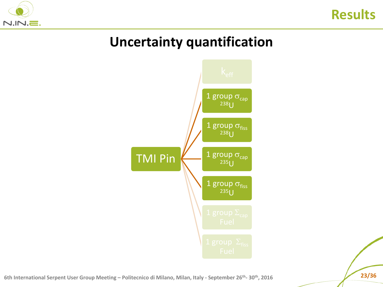



## **Uncertainty quantification**



**6th International Serpent User Group Meeting – Politecnico di Milano, Milan, Italy - September 26th - 30th, 2016 23/36**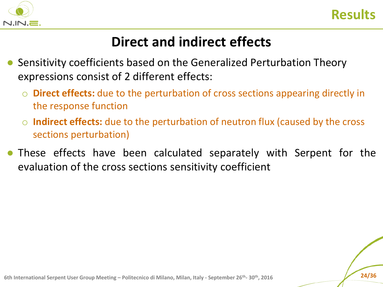



## **Direct and indirect effects**

- Sensitivity coefficients based on the Generalized Perturbation Theory expressions consist of 2 different effects:
	- o **Direct effects:** due to the perturbation of cross sections appearing directly in the response function
	- o **Indirect effects:** due to the perturbation of neutron flux (caused by the cross sections perturbation)
- These effects have been calculated separately with Serpent for the evaluation of the cross sections sensitivity coefficient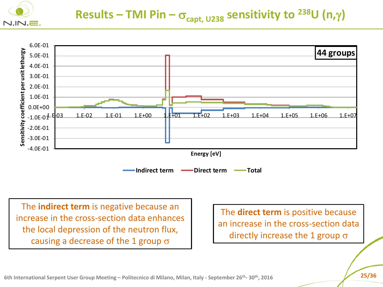

#### **Results – TMI Pin –**  $\sigma_{\text{capt, U238}}$  **sensitivity to <sup>238</sup>U (n,** $\gamma$ **)**



The **indirect term** is negative because an increase in the cross-section data enhances the local depression of the neutron flux, causing a decrease of the 1 group  $\sigma$ 

The **direct term** is positive because an increase in the cross-section data directly increase the 1 group  $\sigma$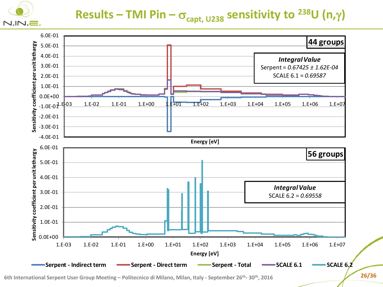

#### **Results – TMI Pin –**  $\sigma_{\text{capt, U238}}$  **sensitivity to <sup>238</sup>U (n,** $\gamma$ **)**



**6th International Serpent User Group Meeting – Politecnico di Milano, Milan, Italy - September 26th - 30th, 2016 26/36**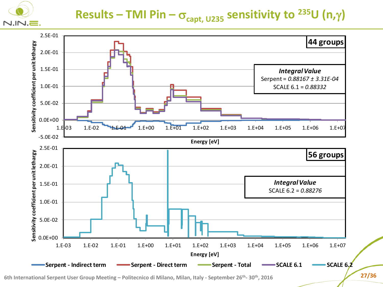

## **Results – TMI Pin –**  $\sigma_{\text{capt, U235}}$  **sensitivity to <sup>235</sup>U (n,** $\gamma$ **)**



**6th International Serpent User Group Meeting – Politecnico di Milano, Milan, Italy - September 26th - 30th, 2016 27/36**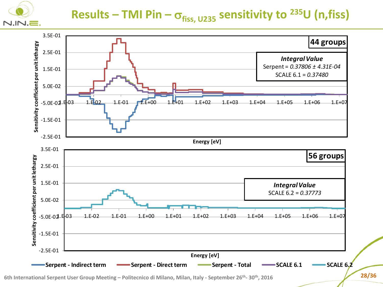

#### **Results – TMI Pin –**  $\sigma_{\text{fiss, U235}}$  **sensitivity to <sup>235</sup>U (n,fiss)**



**6th International Serpent User Group Meeting – Politecnico di Milano, Milan, Italy - September 26th - 30th, 2016 28/36**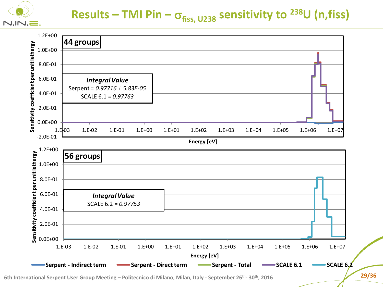

#### **Results – TMI Pin –**  $\sigma_{\text{fiss, U238}}$  **sensitivity to <sup>238</sup>U (n,fiss)**



**6th International Serpent User Group Meeting – Politecnico di Milano, Milan, Italy - September 26th - 30th, 2016 29/36**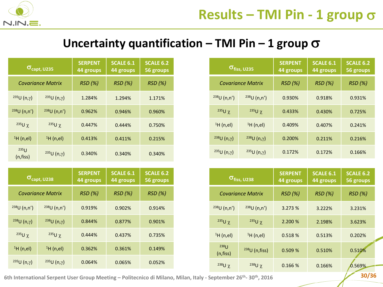

 $238U(n,\gamma)$ 

 $235U \chi$ 

<sup>1</sup>H (n,el)

 $235U(n,\gamma)$ 

#### Uncertainty quantification  $-$  TMI Pin  $-$  1 group  $\sigma$

|                              | $\sigma_{\mathsf{capt},\,$ U235 | <b>SERPENT</b><br>44 groups | <b>SCALE 6.1</b><br>44 groups | <b>SCALE 6.2</b><br>56 groups |
|------------------------------|---------------------------------|-----------------------------|-------------------------------|-------------------------------|
|                              | <b>Covariance Matrix</b>        | RSD(%)                      | <b>RSD</b> (%)                | RSD(%)                        |
| $235U(n,\gamma)$             | $235U(n,\gamma)$                | 1.284%                      | 1.294%                        | 1.171%                        |
| 238U(n,n')                   | 238U(n,n')                      | 0.962%                      | 0.946%                        | 0.960%                        |
| $235U \chi$                  | $235U \chi$                     | 0.447%                      | 0.444%                        | 0.750%                        |
| $1H$ (n,el)                  | $1H$ (n,el)                     | 0.413%                      | 0.411%                        | 0.215%                        |
| 235 <sub>U</sub><br>(n,fiss) | $235$ U (n,γ)                   | 0.340%                      | 0.340%                        | 0.340%                        |
|                              |                                 |                             |                               |                               |
|                              | $\sigma_{\sf capt, U238}$       | <b>SERPENT</b><br>44 groups | <b>SCALE 6.1</b><br>44 groups | <b>SCALE 6.2</b><br>56 groups |
| <b>Covariance Matrix</b>     |                                 | RSD(%)                      | <b>RSD</b> (%)                | <b>RSD</b> (%)                |
| 238U(n,n')                   | 238U(n,n')                      | 0.919%                      | 0.902%                        | 0.914%                        |
|                              |                                 |                             |                               |                               |

 $238$ U (n,y) 0.844% 0.877% 0.901%

 $235$ U  $\gamma$  0.444% 0.437% 0.735%

<sup>1</sup>H (n,el) 0.362% 0.361% 0.149%

 $235$ U (n, $\gamma$ ) 0.064% 0.065% 0.052%

|                  | $\sigma_{\text{fiss, U235}}$ | <b>SERPENT</b><br>44 groups | <b>SCALE 6.1</b><br>44 groups | <b>SCALE 6.2</b><br>56 groups |
|------------------|------------------------------|-----------------------------|-------------------------------|-------------------------------|
|                  | <b>Covariance Matrix</b>     | <b>RSD</b> (%)              | <b>RSD</b> (%)                | <b>RSD</b> (%)                |
| 238U(n,n')       | 238U(n,n')                   | 0.930%                      | 0.918%                        | 0.931%                        |
| $235$ U χ        | $235U \chi$                  | 0.433%                      | 0.430%                        | 0.725%                        |
| $^1$ H (n,el)    | H(n,el)                      | 0.409%                      | 0.407%                        | 0.241%                        |
| $238$ U (n,γ)    | $238$ U (n,γ)                | 0.200%                      | 0.211%                        | 0.216%                        |
| $235U(n,\gamma)$ | $235U(n,\gamma)$             | 0.172%                      | 0.172%                        | 0.166%                        |

|                     | $\sigma_{\rm fiss, \, U238}$ | <b>SERPENT</b><br>44 groups | <b>SCALE 6.1</b><br>44 groups | <b>SCALE 6.2</b><br>56 groups |
|---------------------|------------------------------|-----------------------------|-------------------------------|-------------------------------|
|                     | <b>Covariance Matrix</b>     | <b>RSD</b> (%)              | <b>RSD</b> (%)                | RSD(%)                        |
| 238U(n,n')          | 238U(n,n')                   | 3.273 %                     | 3.222%                        | 3.231%                        |
| $235$ U χ           | $235$ U γ                    | 2.200 %                     | 2.198%                        | 3.623%                        |
| $1H$ (n,el)         | H(n,el)                      | 0.518 %                     | 0.513%                        | 0.202%                        |
| $238$ U<br>(n,fiss) | $238U$ (n, fiss)             | 0.509%                      | 0.510%                        | 0.510%                        |
| $238U \chi$         | $238U \chi$                  | 0.166 %                     | 0.166%                        | 0.569%                        |

**10/36 11/30 11/30 12/36 12/36 12/36 12/36 12/36 12/36 12/36 12/36 12/36 12/36 12/36 12/36 12/36 12/36 12/36 12/36 12/36 12/36 12/36 12/36 12/36 12/36 12/36 12/36 12/36**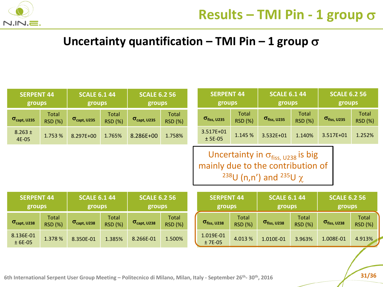

 $\frac{1015}{2}$  01  $\frac{4.013}{8}$  1.010E-01 3.963% 1.008E-01 4.913%

#### Uncertainty quantification  $-$  TMI Pin  $-$  1 group  $\sigma$

|                              | <b>SCALE 6.1 44</b><br><b>SERPENT 44</b><br>groups<br>groups |                                  | <b>SCALE 6.2 56</b><br>groups |                              |                                | <b>SERPENT 44</b><br>groups |                                                              | <b>SCALE 6.1 44</b><br>groups  |                                                                                                                                                | <b>SCALE 6.2 56</b><br>groups  |                              |                                |
|------------------------------|--------------------------------------------------------------|----------------------------------|-------------------------------|------------------------------|--------------------------------|-----------------------------|--------------------------------------------------------------|--------------------------------|------------------------------------------------------------------------------------------------------------------------------------------------|--------------------------------|------------------------------|--------------------------------|
| $\sigma_{\text{capt, U235}}$ | <b>Total</b><br><b>RSD (%)</b>                               | $\sigma_{\text{capt, U235}}$     | Total<br><b>RSD (%)</b>       | $\sigma_{\text{capt, U235}}$ | <b>Total</b><br><b>RSD (%)</b> |                             | $\sigma_{\text{fiss, U235}}$                                 | <b>Total</b><br><b>RSD (%)</b> | $\sigma_{\text{fiss, U235}}$                                                                                                                   | <b>Total</b><br><b>RSD (%)</b> | $\sigma_{\text{fiss, U235}}$ | <b>Total</b><br><b>RSD (%)</b> |
| $8.263 \pm$<br>4E-05         | 1.753 %                                                      | 8.297E+00                        | 1.765%                        | 8.286E+00                    | 1.758%                         |                             | 3.517E+01<br>$±$ 5E-05                                       | 1.145 %                        | 3.532E+01                                                                                                                                      | 1.140%                         | 3.517E+01                    | 1.252%                         |
|                              |                                                              |                                  |                               |                              |                                |                             |                                                              |                                | Uncertainty in $\sigma_{\text{fiss, U238}}$ is big<br>mainly due to the contribution of<br><sup>238</sup> U (n,n') and <sup>235</sup> U $\chi$ |                                |                              |                                |
|                              | <b>SERPENT 44</b><br>groups                                  |                                  | <b>SCALE 6.1 44</b><br>groups |                              | <b>SCALE 6.2 56</b><br>groups  |                             | <b>SCALE 6.1 44</b><br><b>SERPENT 44</b><br>groups<br>groups |                                |                                                                                                                                                | <b>SCALE 6.2 56</b><br>groups  |                              |                                |
| $\sigma_{\text{capt, U238}}$ | <b>Total</b><br><b>RSD (%)</b>                               | $\sigma_{\text{capt, U238}}$     | Total<br><b>RSD (%)</b>       | $\sigma_{\text{capt, U238}}$ | <b>Total</b><br><b>RSD (%)</b> |                             | $\sigma_{\text{fiss, U238}}$                                 | <b>Total</b><br><b>RSD (%)</b> | $\sigma_{\text{fiss, U238}}$                                                                                                                   | <b>Total</b><br><b>RSD (%)</b> | $\sigma_{\text{fiss, U238}}$ | Total<br><b>RSD (%)</b>        |
| 8.136E-01                    |                                                              | $1.270.01$ $0.2707.01$ $1.20701$ |                               | 0.200504                     | $\lambda$ = 0.00/              |                             | 1.019E-01                                                    | $\sim$ 0.4.0.0/                | $\sim$ $\sim$ $\sim$ $\sim$ $\sim$                                                                                                             | $\sim$ $\sim$ $\sim$           | 1.0005.01                    | 1.0101                         |

**1/36 1/36 1/36 1/36 1/36 1/36 1/36 1/36 1/36 1/36 1/36 1/36 1/36 1/36 1/36 1/36 1/36 1/36 1/36 1/36 1/36 1/36 1/36 1/36 1/36 1/36 1/36 1/36 1/36 1/36 1/36 1/36** 

 $\pm$  6E-05 1.378 % 8.350E-01 1.385% 8.266E-01 1.500%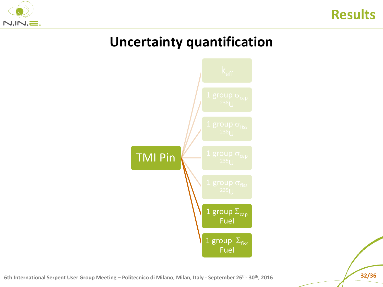



## **Uncertainty quantification**



**6th International Serpent User Group Meeting – Politecnico di Milano, Milan, Italy - September 26th - 30th, 2016 32/36**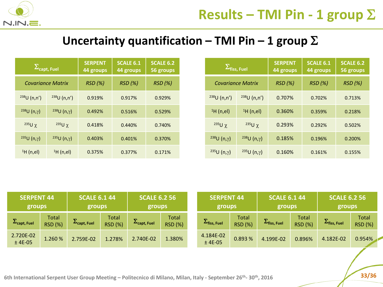

#### Uncertainty quantification  $-$  TMI Pin  $-$  1 group  $\Sigma$

|                  | $\Sigma_{\mathsf{capt},\,\mathsf{Fuel}}$ | <b>SERPENT</b><br>44 groups | <b>SCALE 6.1</b><br>44 groups | <b>SCALE 6.2</b><br>56 groups |
|------------------|------------------------------------------|-----------------------------|-------------------------------|-------------------------------|
|                  | <b>Covariance Matrix</b>                 | <b>RSD</b> (%)              | RSD(%)                        | <b>RSD</b> (%)                |
| 238U(n,n')       | 238U(n,n')                               | 0.919%                      | 0.917%                        | 0.929%                        |
| $238$ U (n,γ)    | $238U(n,\gamma)$                         | 0.492%                      |                               | 0.529%                        |
| $235$ U χ        | $235$ U χ                                | 0.418%                      | 0.440%                        | 0.740%                        |
| $235U(n,\gamma)$ | $235U(n,\gamma)$                         | 0.403%                      | 0.401%                        | 0.370%                        |
| $H$ (n,el)       | H(n,el)                                  | 0.375%                      | 0.377%                        | 0.171%                        |

|                  | $\Sigma_{\mathsf{fiss},\,\mathsf{Fuel}}$ | <b>SERPENT</b><br>44 groups | <b>SCALE 6.1</b><br>44 groups | <b>SCALE 6.2</b><br>56 groups |
|------------------|------------------------------------------|-----------------------------|-------------------------------|-------------------------------|
|                  | <b>Covariance Matrix</b>                 | RSD(%)                      | <b>RSD</b> (%)                | <b>RSD</b> (%)                |
| 238U(n,n')       | 238U(n,n')                               | 0.707%                      | 0.702%                        | 0.713%                        |
| H(n,el)          | H(n,el)                                  | 0.360%                      | 0.359%                        |                               |
| $235$ U γ        | $235$ U χ                                | 0.293%                      | 0.292%                        | 0.502%                        |
| $238U(n,\gamma)$ | $238$ U (n,γ)                            | 0.185%                      | 0.196%                        | 0.200%                        |
| $235U(n,\gamma)$ | $235U(n,\gamma)$                         | 0.160%                      | 0.161%                        | 0.155%                        |

| <b>SERPENT 44</b><br><b>SCALE 6.1 44</b><br>groups<br>groups |                                | <b>SCALE 6.2 56</b><br>groups     |                         | <b>SERPENT 44</b><br>groups                                   |                         | <b>SCALE 6.1 44</b><br>groups |                         | <b>SCALE 6.2 56</b><br>groups           |                         |                                        |                         |
|--------------------------------------------------------------|--------------------------------|-----------------------------------|-------------------------|---------------------------------------------------------------|-------------------------|-------------------------------|-------------------------|-----------------------------------------|-------------------------|----------------------------------------|-------------------------|
| $\mathcal{L}_{\text{capt, fuel}}$                            | <b>Total</b><br><b>RSD (%)</b> | $\mathcal{L}_{\text{capt, fuel}}$ | Total<br><b>RSD (%)</b> | $\overline{\phantom{a}}$<br>$\mathcal{L}_{\text{capt, fuel}}$ | Total<br><b>RSD (%)</b> | $L$ fiss, Fuel                | Total<br><b>RSD (%)</b> | ÷.<br>$\mathcal{L}_{\text{fiss, fuel}}$ | Total<br><b>RSD (%)</b> | ÷<br>$\mathcal{L}_{\text{fiss, fuel}}$ | Total<br><b>RSD (%)</b> |
| 2.720E-02<br>$±$ 4E-05                                       | 1.260%                         | 2.759E-02                         | 1.278%                  | 2.740E-02                                                     | 1.380%                  | 4.184E-02<br>$±$ 4E-05        | 0.893%                  | 4.199E-02                               | 0.896%                  | 4.182E-02                              | 0.954%                  |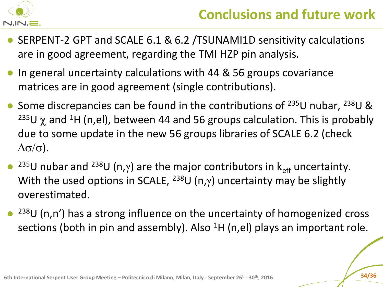

- SERPENT-2 GPT and SCALE 6.1 & 6.2 /TSUNAMI1D sensitivity calculations are in good agreement, regarding the TMI HZP pin analysis.
- In general uncertainty calculations with 44 & 56 groups covariance matrices are in good agreement (single contributions).
- Some discrepancies can be found in the contributions of  $^{235}$ U nubar,  $^{238}$ U & <sup>235</sup>U  $\chi$  and <sup>1</sup>H (n,el), between 44 and 56 groups calculation. This is probably due to some update in the new 56 groups libraries of SCALE 6.2 (check  $\Delta\sigma/\sigma$ ).
- <sup>235</sup>U nubar and <sup>238</sup>U (n,y) are the major contributors in  $k_{\text{eff}}$  uncertainty. With the used options in SCALE, <sup>238</sup>U (n, $\gamma$ ) uncertainty may be slightly overestimated.
- $238$ U (n,n') has a strong influence on the uncertainty of homogenized cross sections (both in pin and assembly). Also  ${}^{1}H$  (n,el) plays an important role.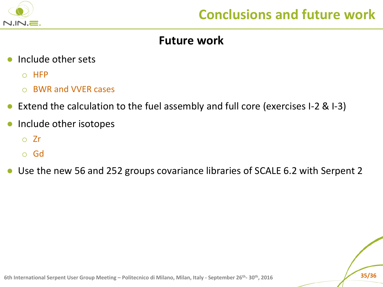

#### **Future work**

- Include other sets
	- o HFP
	- o BWR and VVER cases
- Extend the calculation to the fuel assembly and full core (exercises I-2  $\&$  I-3)
- Include other isotopes
	- o Zr
	- o Gd
- Use the new 56 and 252 groups covariance libraries of SCALE 6.2 with Serpent 2